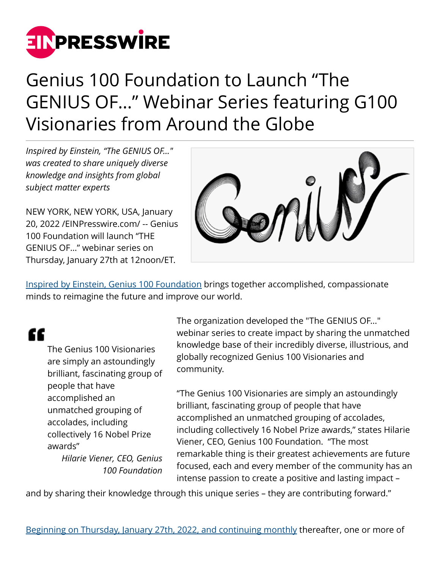

# Genius 100 Foundation to Launch "The GENIUS OF…" Webinar Series featuring G100 Visionaries from Around the Globe

*Inspired by Einstein, "The GENIUS OF..." was created to share uniquely diverse knowledge and insights from global subject matter experts*

NEW YORK, NEW YORK, USA, January 20, 2022 /[EINPresswire.com/](http://www.einpresswire.com) -- Genius 100 Foundation will launch "THE GENIUS OF…" webinar series on Thursday, January 27th at 12noon/ET.



[Inspired by Einstein, Genius 100 Foundation](http://www.genius100visions.com) brings together accomplished, compassionate minds to reimagine the future and improve our world.

## "

The Genius 100 Visionaries are simply an astoundingly brilliant, fascinating group of people that have accomplished an unmatched grouping of accolades, including collectively 16 Nobel Prize awards" *Hilarie Viener, CEO, Genius 100 Foundation* The organization developed the "The GENIUS OF..." webinar series to create impact by sharing the unmatched knowledge base of their incredibly diverse, illustrious, and globally recognized Genius 100 Visionaries and community.

"The Genius 100 Visionaries are simply an astoundingly brilliant, fascinating group of people that have accomplished an unmatched grouping of accolades, including collectively 16 Nobel Prize awards," states Hilarie Viener, CEO, Genius 100 Foundation. "The most remarkable thing is their greatest achievements are future focused, each and every member of the community has an intense passion to create a positive and lasting impact –

and by sharing their knowledge through this unique series – they are contributing forward."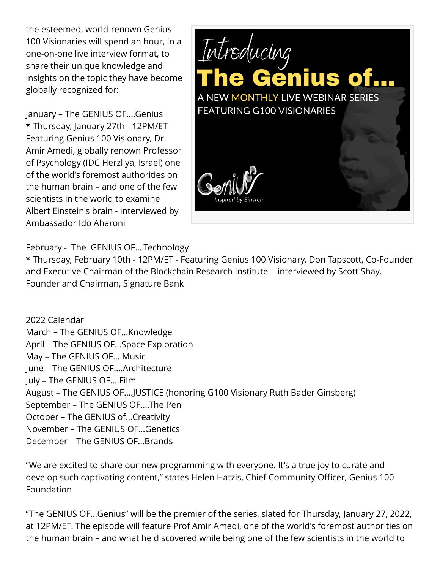the esteemed, world-renown Genius 100 Visionaries will spend an hour, in a one-on-one live interview format, to share their unique knowledge and insights on the topic they have become globally recognized for:

January – The GENIUS OF….Genius \* Thursday, January 27th - 12PM/ET - Featuring Genius 100 Visionary, Dr. Amir Amedi, globally renown Professor of Psychology (IDC Herzliya, Israel) one of the world's foremost authorities on the human brain – and one of the few scientists in the world to examine Albert Einstein's brain - interviewed by Ambassador Ido Aharoni



February - The GENIUS OF….Technology

\* Thursday, February 10th - 12PM/ET - Featuring Genius 100 Visionary, Don Tapscott, Co-Founder and Executive Chairman of the Blockchain Research Institute - interviewed by Scott Shay, Founder and Chairman, Signature Bank

2022 Calendar March – The GENIUS OF…Knowledge April – The GENIUS OF…Space Exploration May – The GENIUS OF….Music June – The GENIUS OF….Architecture July – The GENIUS OF….Film August – The GENIUS OF….JUSTICE (honoring G100 Visionary Ruth Bader Ginsberg) September – The GENIUS OF….The Pen October – The GENIUS of…Creativity November – The GENIUS OF…Genetics December – The GENIUS OF…Brands

"We are excited to share our new programming with everyone. It's a true joy to curate and develop such captivating content," states Helen Hatzis, Chief Community Officer, Genius 100 Foundation

"The GENIUS OF…Genius" will be the premier of the series, slated for Thursday, January 27, 2022, at 12PM/ET. The episode will feature Prof Amir Amedi, one of the world's foremost authorities on the human brain – and what he discovered while being one of the few scientists in the world to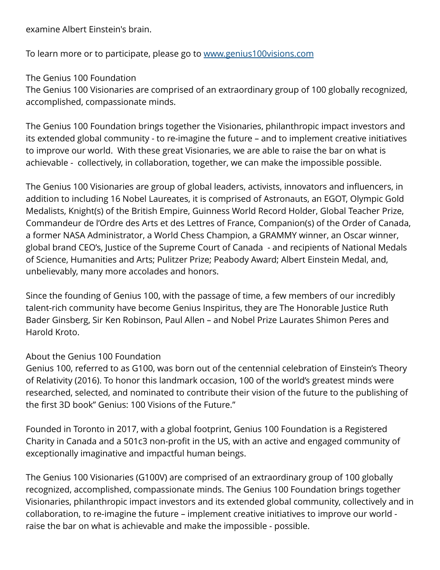examine Albert Einstein's brain.

To learn more or to participate, please go to [www.genius100visions.com](http://www.genius100visions.com)

The Genius 100 Foundation

The Genius 100 Visionaries are comprised of an extraordinary group of 100 globally recognized, accomplished, compassionate minds.

The Genius 100 Foundation brings together the Visionaries, philanthropic impact investors and its extended global community - to re-imagine the future – and to implement creative initiatives to improve our world. With these great Visionaries, we are able to raise the bar on what is achievable - collectively, in collaboration, together, we can make the impossible possible.

The Genius 100 Visionaries are group of global leaders, activists, innovators and influencers, in addition to including 16 Nobel Laureates, it is comprised of Astronauts, an EGOT, Olympic Gold Medalists, Knight(s) of the British Empire, Guinness World Record Holder, Global Teacher Prize, Commandeur de l'Ordre des Arts et des Lettres of France, Companion(s) of the Order of Canada, a former NASA Administrator, a World Chess Champion, a GRAMMY winner, an Oscar winner, global brand CEO's, Justice of the Supreme Court of Canada - and recipients of National Medals of Science, Humanities and Arts; Pulitzer Prize; Peabody Award; Albert Einstein Medal, and, unbelievably, many more accolades and honors.

Since the founding of Genius 100, with the passage of time, a few members of our incredibly talent-rich community have become Genius Inspiritus, they are The Honorable Justice Ruth Bader Ginsberg, Sir Ken Robinson, Paul Allen – and Nobel Prize Laurates Shimon Peres and Harold Kroto.

#### About the Genius 100 Foundation

Genius 100, referred to as G100, was born out of the centennial celebration of Einstein's Theory of Relativity (2016). To honor this landmark occasion, 100 of the world's greatest minds were researched, selected, and nominated to contribute their vision of the future to the publishing of the first 3D book" Genius: 100 Visions of the Future."

Founded in Toronto in 2017, with a global footprint, Genius 100 Foundation is a Registered Charity in Canada and a 501c3 non-profit in the US, with an active and engaged community of exceptionally imaginative and impactful human beings.

The Genius 100 Visionaries (G100V) are comprised of an extraordinary group of 100 globally recognized, accomplished, compassionate minds. The Genius 100 Foundation brings together Visionaries, philanthropic impact investors and its extended global community, collectively and in collaboration, to re-imagine the future – implement creative initiatives to improve our world raise the bar on what is achievable and make the impossible - possible.